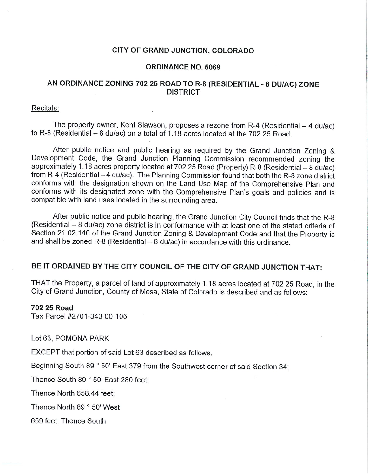### CITY OF GRAND JUNCTION, COLORADO

#### ORDINANCE NO. 5069

## AN ORDINANCE ZONING 702 25 ROAD TO R-8 (RESIDENTIAL - 8 DU/AC) ZONE DISTRICT

#### Recitals:

The property owner, Kent Slawson, proposes a rezone from R-4 (Residential  $-4$  du/ac) to R-8 (Residential  $-8$  du/ac) on a total of 1.18-acres located at the 702 25 Road.

After public notice and public hearing as required by the Grand Junction Zoning & Development Code, the Grand Junction Planning Commission recommended zoning the approximately 1.18 acres property located at 702 25 Road (Property) R-8 (Residential-8 du/ac) from R-4 (Residential - 4 du/ac). The Planning Commission found that both the R-8 zone district conforms with the designation shown on the Land Use Map of the Comprehensive Plan and conforms with its designated zone with the Comprehensive Plan's goals and policies and is compatible with land uses located in the surrounding area.

After public notice and public hearing, the Grand Junction City Council finds that the R-8 (Residential - 8 du/ac) zone district is in conformance with at least one of the stated criteria of Section 21.02.140 of the Grand Junction Zoning & Development Code and that the Property is and shall be zoned  $R-8$  (Residential  $-8$  du/ac) in accordance with this ordinance.

# BE IT ORDAINED BY THE CITY COUNCIL OF THE CITY OF GRAND JUNCTION THAT:

THAT the Property, a parcel of land of approximately 1.18 acres located at 702 25 Road, in the City of Grand Junction, County of Mesa, State of Colorado is described and as follows:

## 702 25 Road

Tax Parcel #2701-343-00-105

Lot 63, POMONA PARK

EXCEPT that portion of said Lot 63 described as follows.

Beginning South 89 ° 50" East 379 from the Southwest corner of said Section 34;

Thence South 89 ° 50' East 280 feet;

Thence North 658.44 feet;

Thence North 89 ° 50' West

659 feet; Thence South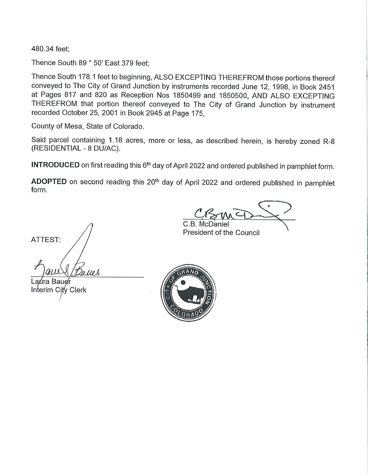480.34 feet;

Thence South 89 ° 50' East 379 feet;

Thence South 178.1 feet to beginning, ALSO EXCEPTING THEREFROM those portions thereof conveyed to The City of Grand Junction by instruments recorded June 12, 1998, in Book 2451 at Pages 817 and 820 as Reception Nos 1850499 and 1850500, AND ALSO EXCEPTING THEREFROM that portion thereof conveyed to The City of Grand Junction by instrument recorded October 25, 2001 in Book 2945 at Page 175.

County of Mesa, State of Colorado.

Said parcel containing 1.18 acres, more or less, as described herein, is hereby zoned R-8 (RESIDENTIAL-8 DU/AC).

INTRODUCED on first reading this 6<sup>th</sup> day of April 2022 and ordered published in pamphlet form.

ADOPTED on second reading this 20<sup>th</sup> day of April 2022 and ordered published in pamphlet form.

 $\sim$ :> C.B. McI

President of the Council

ATTEST: Palle A

.aúra Baue⁄r Interim City Clerk